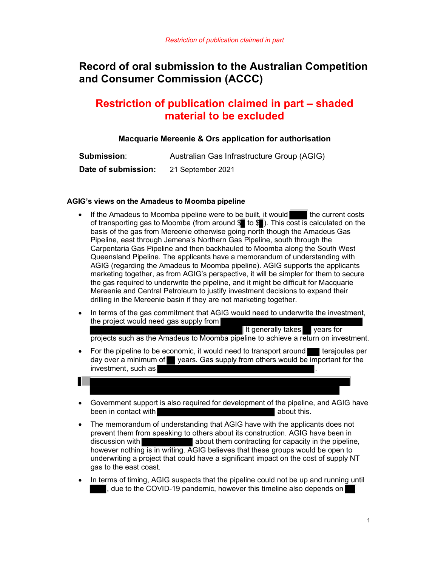# Record of oral submission to the Australian Competition and Consumer Commission (ACCC)

## Restriction of publication claimed in part – shaded material to be excluded

## Macquarie Mereenie & Ors application for authorisation

| <b>Submission:</b>  | Australian Gas Infrastructure Group (AGIG) |
|---------------------|--------------------------------------------|
| Date of submission: | 21 September 2021                          |

### AGIG's views on the Amadeus to Moomba pipeline

- $\bullet$  If the Amadeus to Moomba pipeline were to be built, it would  $\bullet$  the current costs of transporting gas to Moomba (from around  $\mathbb{S}$  to  $\mathbb{S}$ ). This cost is calculated on the basis of the gas from Mereenie otherwise going north though the Amadeus Gas Pipeline, east through Jemena's Northern Gas Pipeline, south through the Carpentaria Gas Pipeline and then backhauled to Moomba along the South West Queensland Pipeline. The applicants have a memorandum of understanding with AGIG (regarding the Amadeus to Moomba pipeline). AGIG supports the applicants marketing together, as from AGIG's perspective, it will be simpler for them to secure the gas required to underwrite the pipeline, and it might be difficult for Macquarie Mereenie and Central Petroleum to justify investment decisions to expand their drilling in the Mereenie basin if they are not marketing together.
- In terms of the gas commitment that AGIG would need to underwrite the investment, the project would need gas supply from

It generally takes  $\blacksquare$  years for

projects such as the Amadeus to Moomba pipeline to achieve a return on investment.

For the pipeline to be economic, it would need to transport around  $\blacksquare$  terajoules per day over a minimum of years. Gas supply from others would be important for the investment, such as

- Government support is also required for development of the pipeline, and AGIG have been in contact with **been** in contact with about this.
- The memorandum of understanding that AGIG have with the applicants does not prevent them from speaking to others about its construction. AGIG have been in discussion with **about them contracting for capacity in the pipeline**, however nothing is in writing. AGIG believes that these groups would be open to underwriting a project that could have a significant impact on the cost of supply NT gas to the east coast.
- In terms of timing, AGIG suspects that the pipeline could not be up and running until , due to the COVID-19 pandemic, however this timeline also depends on